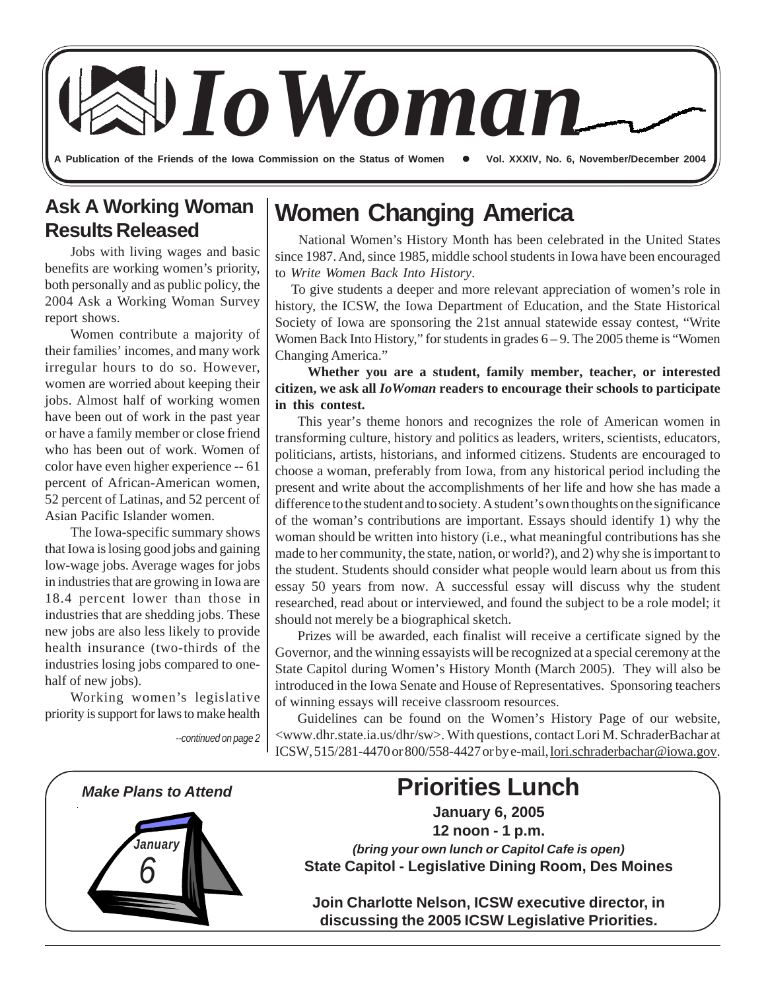**A Publication of the Friends of the Iowa Commission on the Status of Women**  *IoWoman* z **Vol. XXXIV, No. 6, November/December 2004**

### **Ask A Working Woman Results Released**

Jobs with living wages and basic benefits are working women's priority, both personally and as public policy, the 2004 Ask a Working Woman Survey report shows.

Women contribute a majority of their families' incomes, and many work irregular hours to do so. However, women are worried about keeping their jobs. Almost half of working women have been out of work in the past year or have a family member or close friend who has been out of work. Women of color have even higher experience -- 61 percent of African-American women, 52 percent of Latinas, and 52 percent of Asian Pacific Islander women.

The Iowa-specific summary shows that Iowa is losing good jobs and gaining low-wage jobs. Average wages for jobs in industries that are growing in Iowa are 18.4 percent lower than those in industries that are shedding jobs. These new jobs are also less likely to provide health insurance (two-thirds of the industries losing jobs compared to onehalf of new jobs).

Working women's legislative priority is support for laws to make health

### **Women Changing America**

 National Women's History Month has been celebrated in the United States since 1987. And, since 1985, middle school students in Iowa have been encouraged to *Write Women Back Into History*.

 To give students a deeper and more relevant appreciation of women's role in history, the ICSW, the Iowa Department of Education, and the State Historical Society of Iowa are sponsoring the 21st annual statewide essay contest, "Write Women Back Into History," for students in grades  $6 - 9$ . The 2005 theme is "Women Changing America."

#### **Whether you are a student, family member, teacher, or interested citizen, we ask all** *IoWoman* **readers to encourage their schools to participate in this contest.**

This year's theme honors and recognizes the role of American women in transforming culture, history and politics as leaders, writers, scientists, educators, politicians, artists, historians, and informed citizens. Students are encouraged to choose a woman, preferably from Iowa, from any historical period including the present and write about the accomplishments of her life and how she has made a difference to the student and to society. A student's own thoughts on the significance of the woman's contributions are important. Essays should identify 1) why the woman should be written into history (i.e., what meaningful contributions has she made to her community, the state, nation, or world?), and 2) why she is important to the student. Students should consider what people would learn about us from this essay 50 years from now. A successful essay will discuss why the student researched, read about or interviewed, and found the subject to be a role model; it should not merely be a biographical sketch.

Prizes will be awarded, each finalist will receive a certificate signed by the Governor, and the winning essayists will be recognized at a special ceremony at the State Capitol during Women's History Month (March 2005). They will also be introduced in the Iowa Senate and House of Representatives. Sponsoring teachers of winning essays will receive classroom resources.

Guidelines can be found on the Women's History Page of our website, <www.dhr.state.ia.us/dhr/sw>. With questions, contact Lori M. SchraderBachar at ICSW, 515/281-4470 or 800/558-4427 or by e-mail, lori.schraderbachar@iowa.gov.



*<sup>--</sup>continued on page 2*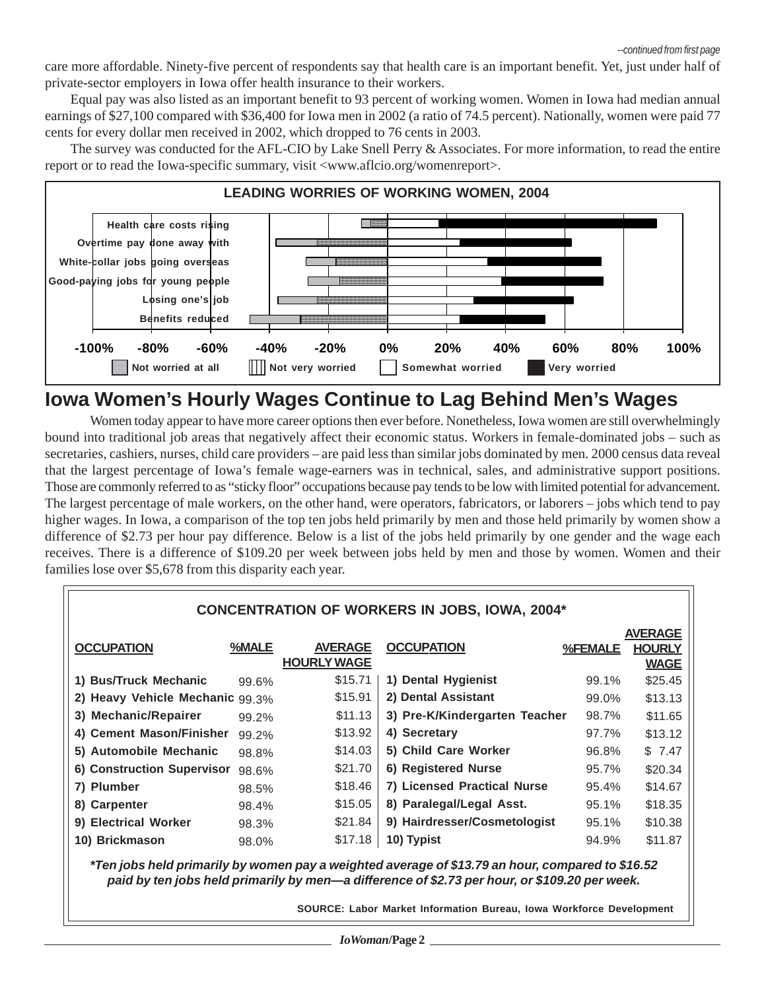care more affordable. Ninety-five percent of respondents say that health care is an important benefit. Yet, just under half of private-sector employers in Iowa offer health insurance to their workers.

Equal pay was also listed as an important benefit to 93 percent of working women. Women in Iowa had median annual earnings of \$27,100 compared with \$36,400 for Iowa men in 2002 (a ratio of 74.5 percent). Nationally, women were paid 77 cents for every dollar men received in 2002, which dropped to 76 cents in 2003.

The survey was conducted for the AFL-CIO by Lake Snell Perry & Associates. For more information, to read the entire report or to read the Iowa-specific summary, visit <www.aflcio.org/womenreport>.



### **Iowa Women's Hourly Wages Continue to Lag Behind Men's Wages**

Women today appear to have more career options then ever before. Nonetheless, Iowa women are still overwhelmingly bound into traditional job areas that negatively affect their economic status. Workers in female-dominated jobs – such as secretaries, cashiers, nurses, child care providers – are paid less than similar jobs dominated by men. 2000 census data reveal that the largest percentage of Iowa's female wage-earners was in technical, sales, and administrative support positions. Those are commonly referred to as "sticky floor" occupations because pay tends to be low with limited potential for advancement. The largest percentage of male workers, on the other hand, were operators, fabricators, or laborers – jobs which tend to pay higher wages. In Iowa, a comparison of the top ten jobs held primarily by men and those held primarily by women show a difference of \$2.73 per hour pay difference. Below is a list of the jobs held primarily by one gender and the wage each receives. There is a difference of \$109.20 per week between jobs held by men and those by women. Women and their families lose over \$5,678 from this disparity each year.

| <b>CONCENTRATION OF WORKERS IN JOBS, IOWA, 2004*</b>                                                                                                                                              |       |                                      |                               |         |                                                |
|---------------------------------------------------------------------------------------------------------------------------------------------------------------------------------------------------|-------|--------------------------------------|-------------------------------|---------|------------------------------------------------|
| <b>OCCUPATION</b>                                                                                                                                                                                 | %MALE | <b>AVERAGE</b><br><b>HOURLY WAGE</b> | <b>OCCUPATION</b>             | %FEMALE | <b>AVERAGE</b><br><b>HOURLY</b><br><b>WAGE</b> |
| 1) Bus/Truck Mechanic                                                                                                                                                                             | 99.6% | \$15.71                              | 1) Dental Hygienist           | 99.1%   | \$25.45                                        |
| 2) Heavy Vehicle Mechanic 99.3%                                                                                                                                                                   |       | \$15.91                              | 2) Dental Assistant           | 99.0%   | \$13.13                                        |
| 3) Mechanic/Repairer                                                                                                                                                                              | 99.2% | \$11.13                              | 3) Pre-K/Kindergarten Teacher | 98.7%   | \$11.65                                        |
| 4) Cement Mason/Finisher                                                                                                                                                                          | 99.2% | \$13.92                              | 4) Secretary                  | 97.7%   | \$13.12                                        |
| 5) Automobile Mechanic                                                                                                                                                                            | 98.8% | \$14.03                              | 5) Child Care Worker          | 96.8%   | \$7.47                                         |
| 6) Construction Supervisor                                                                                                                                                                        | 98.6% | \$21.70                              | 6) Registered Nurse           | 95.7%   | \$20.34                                        |
| 7) Plumber                                                                                                                                                                                        | 98.5% | \$18.46                              | 7) Licensed Practical Nurse   | 95.4%   | \$14.67                                        |
| 8) Carpenter                                                                                                                                                                                      | 98.4% | \$15.05                              | 8) Paralegal/Legal Asst.      | 95.1%   | \$18.35                                        |
| 9) Electrical Worker                                                                                                                                                                              | 98.3% | \$21.84                              | 9) Hairdresser/Cosmetologist  | 95.1%   | \$10.38                                        |
| 10) Brickmason                                                                                                                                                                                    | 98.0% | \$17.18                              | 10) Typist                    | 94.9%   | \$11.87                                        |
| *Ten jobs held primarily by women pay a weighted average of \$13.79 an hour, compared to \$16.52<br>paid by ten jobs held primarily by men—a difference of \$2.73 per hour, or \$109.20 per week. |       |                                      |                               |         |                                                |

**SOURCE: Labor Market Information Bureau, Iowa Workforce Development**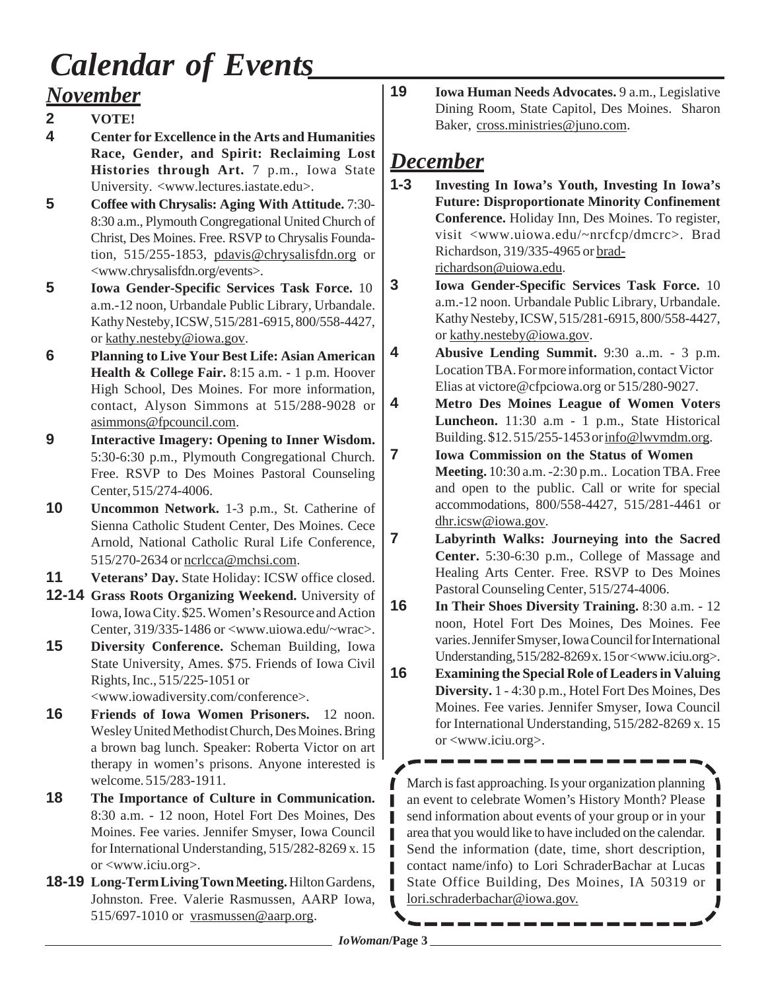## *Calendar of Events*

### *November*

- **2 VOTE!**
- **4 Center for Excellence in the Arts and Humanities Race, Gender, and Spirit: Reclaiming Lost Histories through Art.** 7 p.m., Iowa State University. <www.lectures.iastate.edu>.
- **5 Coffee with Chrysalis: Aging With Attitude.** 7:30- 8:30 a.m., Plymouth Congregational United Church of Christ, Des Moines. Free. RSVP to Chrysalis Foundation, 515/255-1853, pdavis@chrysalisfdn.org or <www.chrysalisfdn.org/events>.
- **5 Iowa Gender-Specific Services Task Force.** 10 a.m.-12 noon, Urbandale Public Library, Urbandale. Kathy Nesteby, ICSW, 515/281-6915, 800/558-4427, or kathy.nesteby@iowa.gov.
- **6 Planning to Live Your Best Life: Asian American Health & College Fair.** 8:15 a.m. - 1 p.m. Hoover High School, Des Moines. For more information, contact, Alyson Simmons at 515/288-9028 or asimmons@fpcouncil.com.
- **9 Interactive Imagery: Opening to Inner Wisdom.** 5:30-6:30 p.m., Plymouth Congregational Church. Free. RSVP to Des Moines Pastoral Counseling Center, 515/274-4006.
- **10 Uncommon Network.** 1-3 p.m., St. Catherine of Sienna Catholic Student Center, Des Moines. Cece Arnold, National Catholic Rural Life Conference, 515/270-2634 or ncrlcca@mchsi.com.
- **11 Veterans' Day.** State Holiday: ICSW office closed.
- **12-14 Grass Roots Organizing Weekend.** University of Iowa, Iowa City. \$25. Women's Resource and Action Center, 319/335-1486 or <www.uiowa.edu/~wrac>.
- **15 Diversity Conference.** Scheman Building, Iowa State University, Ames. \$75. Friends of Iowa Civil Rights, Inc., 515/225-1051 or <www.iowadiversity.com/conference>.
- **16 Friends of Iowa Women Prisoners.** 12 noon. Wesley United Methodist Church, Des Moines. Bring a brown bag lunch. Speaker: Roberta Victor on art therapy in women's prisons. Anyone interested is welcome. 515/283-1911.
- **18 The Importance of Culture in Communication.** 8:30 a.m. - 12 noon, Hotel Fort Des Moines, Des Moines. Fee varies. Jennifer Smyser, Iowa Council for International Understanding, 515/282-8269 x. 15 or <www.iciu.org>.
- **18-19 Long-Term Living Town Meeting.** Hilton Gardens, Johnston. Free. Valerie Rasmussen, AARP Iowa, 515/697-1010 or vrasmussen@aarp.org.

**19 Iowa Human Needs Advocates.** 9 a.m., Legislative Dining Room, State Capitol, Des Moines. Sharon Baker, cross.ministries@juno.com.

### *December*

- **1-3 Investing In Iowa's Youth, Investing In Iowa's Future: Disproportionate Minority Confinement Conference.** Holiday Inn, Des Moines. To register, visit <www.uiowa.edu/~nrcfcp/dmcrc>. Brad Richardson, 319/335-4965 or bradrichardson@uiowa.edu.
- **3 Iowa Gender-Specific Services Task Force.** 10 a.m.-12 noon. Urbandale Public Library, Urbandale. Kathy Nesteby, ICSW, 515/281-6915, 800/558-4427, or kathy.nesteby@iowa.gov.
- **4 Abusive Lending Summit.** 9:30 a..m. 3 p.m. Location TBA. For more information, contact Victor Elias at victore@cfpciowa.org or 515/280-9027.
- **4 Metro Des Moines League of Women Voters Luncheon.** 11:30 a.m - 1 p.m., State Historical Building. \$12. 515/255-1453 or info@lwvmdm.org.
- **7 Iowa Commission on the Status of Women Meeting.** 10:30 a.m. -2:30 p.m.. Location TBA. Free and open to the public. Call or write for special accommodations, 800/558-4427, 515/281-4461 or dhr.icsw@iowa.gov.
- **7 Labyrinth Walks: Journeying into the Sacred Center.** 5:30-6:30 p.m., College of Massage and Healing Arts Center. Free. RSVP to Des Moines Pastoral Counseling Center, 515/274-4006.
- **16 In Their Shoes Diversity Training.** 8:30 a.m. 12 noon, Hotel Fort Des Moines, Des Moines. Fee varies. Jennifer Smyser, Iowa Council for International Understanding, 515/282-8269 x. 15 or <www.iciu.org>.
- **16 Examining the Special Role of Leaders in Valuing Diversity.** 1 - 4:30 p.m., Hotel Fort Des Moines, Des Moines. Fee varies. Jennifer Smyser, Iowa Council for International Understanding, 515/282-8269 x. 15 or <www.iciu.org>.

March is fast approaching. Is your organization planning an event to celebrate Women's History Month? Please send information about events of your group or in your area that you would like to have included on the calendar. Send the information (date, time, short description, contact name/info) to Lori SchraderBachar at Lucas State Office Building, Des Moines, IA 50319 or lori.schraderbachar@iowa.gov.